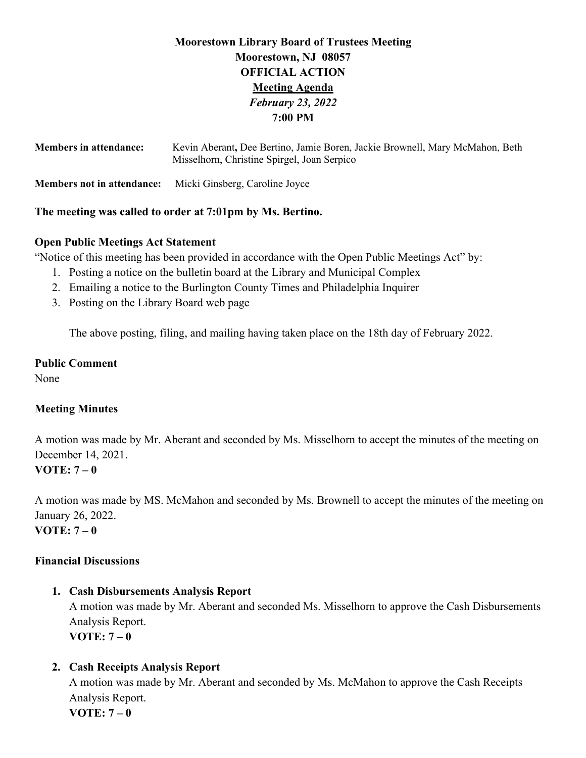# **Moorestown Library Board of Trustees Meeting Moorestown, NJ 08057 OFFICIAL ACTION Meeting Agenda** *February 23, 2022* **7:00 PM**

| <b>Members in attendance:</b>     | Kevin Aberant, Dee Bertino, Jamie Boren, Jackie Brownell, Mary McMahon, Beth<br>Misselhorn, Christine Spirgel, Joan Serpico |
|-----------------------------------|-----------------------------------------------------------------------------------------------------------------------------|
| <b>Members not in attendance:</b> | Micki Ginsberg, Caroline Joyce                                                                                              |

### **The meeting was called to order at 7:01pm by Ms. Bertino.**

### **Open Public Meetings Act Statement**

"Notice of this meeting has been provided in accordance with the Open Public Meetings Act" by:

- 1. Posting a notice on the bulletin board at the Library and Municipal Complex
- 2. Emailing a notice to the Burlington County Times and Philadelphia Inquirer
- 3. Posting on the Library Board web page

The above posting, filing, and mailing having taken place on the 18th day of February 2022.

# **Public Comment**

None

# **Meeting Minutes**

A motion was made by Mr. Aberant and seconded by Ms. Misselhorn to accept the minutes of the meeting on December 14, 2021. **VOTE: 7 – 0** 

A motion was made by MS. McMahon and seconded by Ms. Brownell to accept the minutes of the meeting on January 26, 2022. **VOTE: 7 – 0**

# **Financial Discussions**

# **1. Cash Disbursements Analysis Report**

A motion was made by Mr. Aberant and seconded Ms. Misselhorn to approve the Cash Disbursements Analysis Report. **VOTE: 7 – 0** 

# **2. Cash Receipts Analysis Report**

A motion was made by Mr. Aberant and seconded by Ms. McMahon to approve the Cash Receipts Analysis Report. **VOTE: 7 – 0**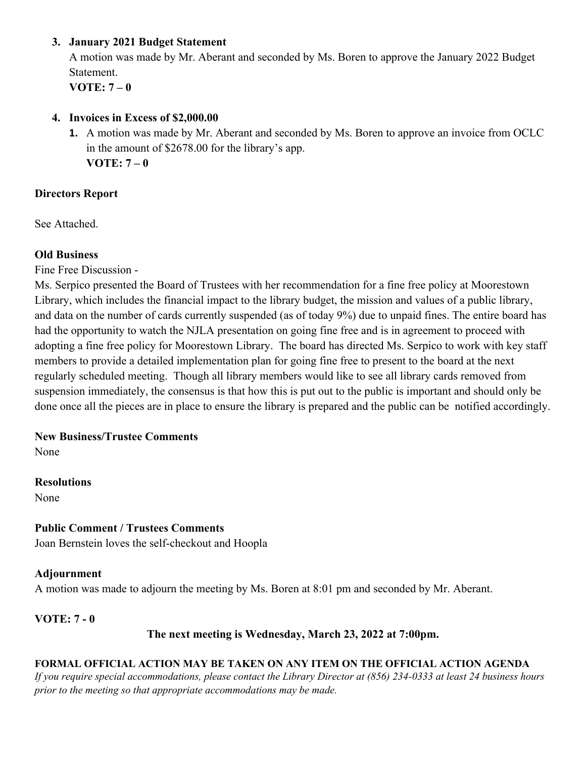## **3. January 2021 Budget Statement**

A motion was made by Mr. Aberant and seconded by Ms. Boren to approve the January 2022 Budget Statement.

**VOTE: 7 – 0** 

### **4. Invoices in Excess of \$2,000.00**

**1.** A motion was made by Mr. Aberant and seconded by Ms. Boren to approve an invoice from OCLC in the amount of \$2678.00 for the library's app. **VOTE: 7 – 0** 

# **Directors Report**

See Attached.

# **Old Business**

Fine Free Discussion -

Ms. Serpico presented the Board of Trustees with her recommendation for a fine free policy at Moorestown Library, which includes the financial impact to the library budget, the mission and values of a public library, and data on the number of cards currently suspended (as of today 9%) due to unpaid fines. The entire board has had the opportunity to watch the NJLA presentation on going fine free and is in agreement to proceed with adopting a fine free policy for Moorestown Library. The board has directed Ms. Serpico to work with key staff members to provide a detailed implementation plan for going fine free to present to the board at the next regularly scheduled meeting. Though all library members would like to see all library cards removed from suspension immediately, the consensus is that how this is put out to the public is important and should only be done once all the pieces are in place to ensure the library is prepared and the public can be notified accordingly.

# **New Business/Trustee Comments**

None

### **Resolutions**

None

# **Public Comment / Trustees Comments**

Joan Bernstein loves the self-checkout and Hoopla

# **Adjournment**

A motion was made to adjourn the meeting by Ms. Boren at 8:01 pm and seconded by Mr. Aberant.

# **VOTE: 7 - 0**

# **The next meeting is Wednesday, March 23, 2022 at 7:00pm.**

# **FORMAL OFFICIAL ACTION MAY BE TAKEN ON ANY ITEM ON THE OFFICIAL ACTION AGENDA**

*If you require special accommodations, please contact the Library Director at (856) 234-0333 at least 24 business hours prior to the meeting so that appropriate accommodations may be made.*